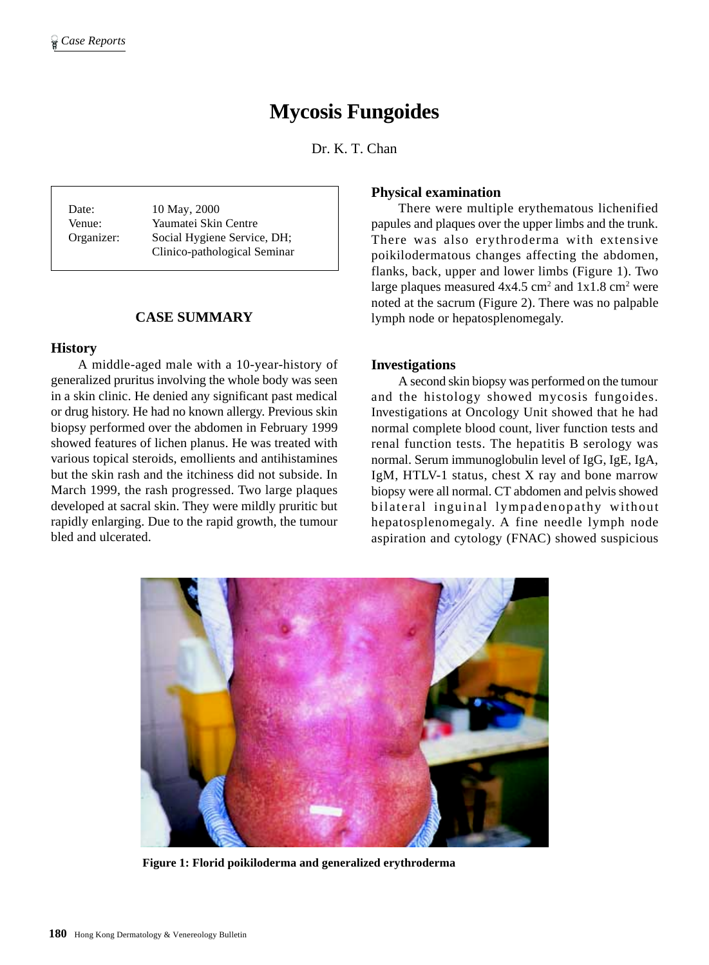# **Mycosis Fungoides**

Dr. K. T. Chan

Date: 10 May, 2000 Venue: Yaumatei Skin Centre Organizer: Social Hygiene Service, DH; Clinico-pathological Seminar

### **CASE SUMMARY**

#### **History**

A middle-aged male with a 10-year-history of generalized pruritus involving the whole body was seen in a skin clinic. He denied any significant past medical or drug history. He had no known allergy. Previous skin biopsy performed over the abdomen in February 1999 showed features of lichen planus. He was treated with various topical steroids, emollients and antihistamines but the skin rash and the itchiness did not subside. In March 1999, the rash progressed. Two large plaques developed at sacral skin. They were mildly pruritic but rapidly enlarging. Due to the rapid growth, the tumour bled and ulcerated.

#### **Physical examination**

There were multiple erythematous lichenified papules and plaques over the upper limbs and the trunk. There was also erythroderma with extensive poikilodermatous changes affecting the abdomen, flanks, back, upper and lower limbs (Figure 1). Two large plaques measured  $4x4.5$  cm<sup>2</sup> and  $1x1.8$  cm<sup>2</sup> were noted at the sacrum (Figure 2). There was no palpable lymph node or hepatosplenomegaly.

#### **Investigations**

A second skin biopsy was performed on the tumour and the histology showed mycosis fungoides. Investigations at Oncology Unit showed that he had normal complete blood count, liver function tests and renal function tests. The hepatitis B serology was normal. Serum immunoglobulin level of IgG, IgE, IgA, IgM, HTLV-1 status, chest X ray and bone marrow biopsy were all normal. CT abdomen and pelvis showed bilateral inguinal lympadenopathy without hepatosplenomegaly. A fine needle lymph node aspiration and cytology (FNAC) showed suspicious



**Figure 1: Florid poikiloderma and generalized erythroderma**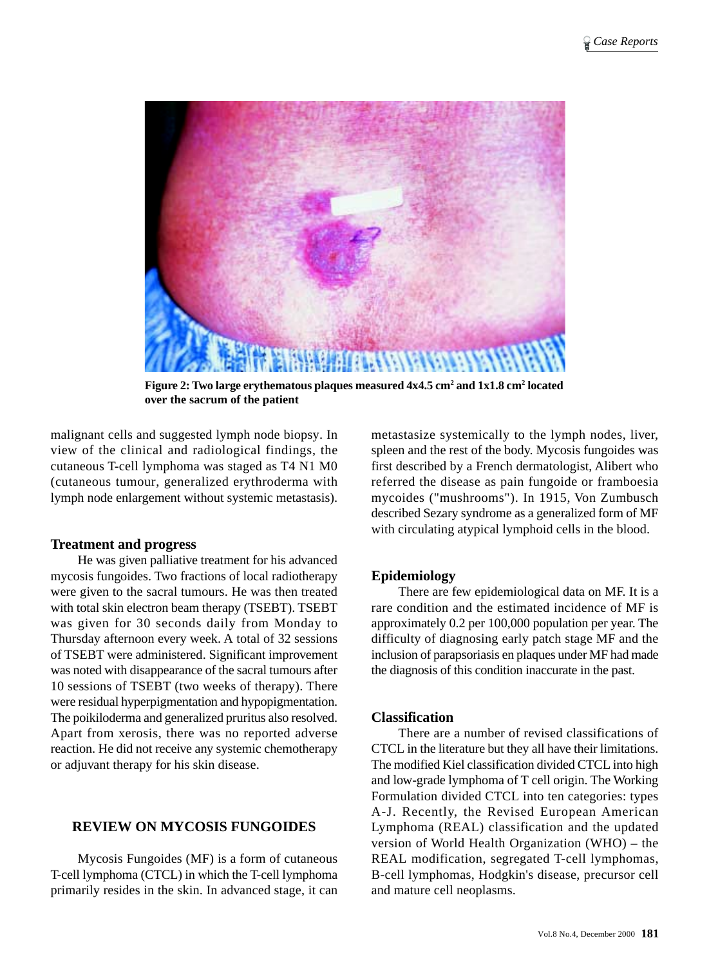

Figure 2: Two large erythematous plaques measured 4x4.5 cm<sup>2</sup> and 1x1.8 cm<sup>2</sup> located **over the sacrum of the patient**

malignant cells and suggested lymph node biopsy. In view of the clinical and radiological findings, the cutaneous T-cell lymphoma was staged as T4 N1 M0 (cutaneous tumour, generalized erythroderma with lymph node enlargement without systemic metastasis).

#### **Treatment and progress**

He was given palliative treatment for his advanced mycosis fungoides. Two fractions of local radiotherapy were given to the sacral tumours. He was then treated with total skin electron beam therapy (TSEBT). TSEBT was given for 30 seconds daily from Monday to Thursday afternoon every week. A total of 32 sessions of TSEBT were administered. Significant improvement was noted with disappearance of the sacral tumours after 10 sessions of TSEBT (two weeks of therapy). There were residual hyperpigmentation and hypopigmentation. The poikiloderma and generalized pruritus also resolved. Apart from xerosis, there was no reported adverse reaction. He did not receive any systemic chemotherapy or adjuvant therapy for his skin disease.

### **REVIEW ON MYCOSIS FUNGOIDES**

Mycosis Fungoides (MF) is a form of cutaneous T-cell lymphoma (CTCL) in which the T-cell lymphoma primarily resides in the skin. In advanced stage, it can metastasize systemically to the lymph nodes, liver, spleen and the rest of the body. Mycosis fungoides was first described by a French dermatologist, Alibert who referred the disease as pain fungoide or framboesia mycoides ("mushrooms"). In 1915, Von Zumbusch described Sezary syndrome as a generalized form of MF with circulating atypical lymphoid cells in the blood.

# **Epidemiology**

There are few epidemiological data on MF. It is a rare condition and the estimated incidence of MF is approximately 0.2 per 100,000 population per year. The difficulty of diagnosing early patch stage MF and the inclusion of parapsoriasis en plaques under MF had made the diagnosis of this condition inaccurate in the past.

# **Classification**

There are a number of revised classifications of CTCL in the literature but they all have their limitations. The modified Kiel classification divided CTCL into high and low-grade lymphoma of T cell origin. The Working Formulation divided CTCL into ten categories: types A-J. Recently, the Revised European American Lymphoma (REAL) classification and the updated version of World Health Organization (WHO) – the REAL modification, segregated T-cell lymphomas, B-cell lymphomas, Hodgkin's disease, precursor cell and mature cell neoplasms.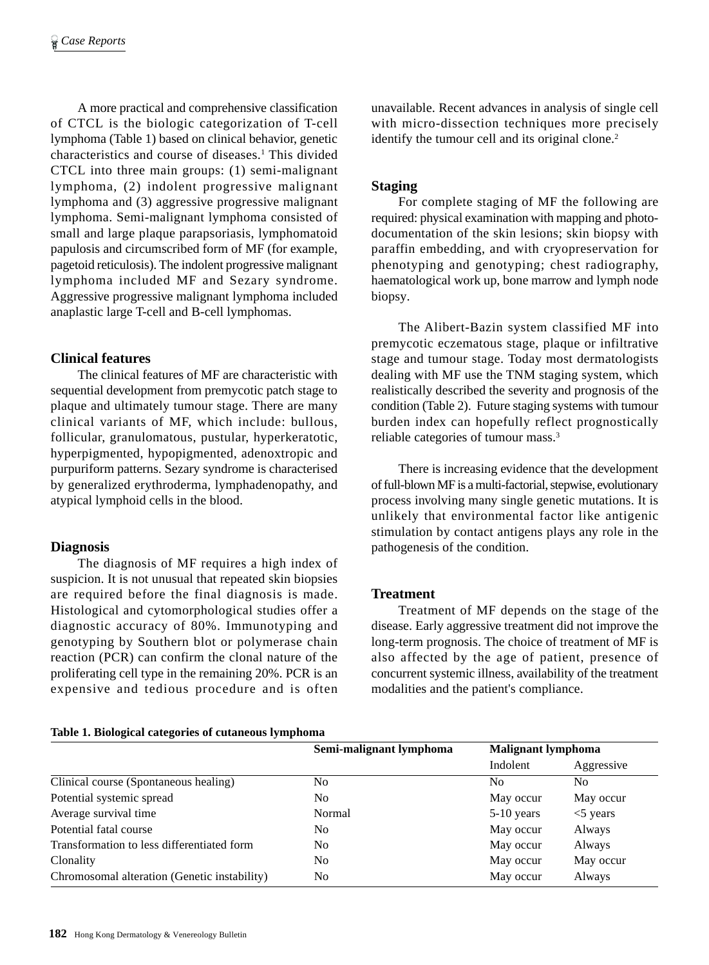A more practical and comprehensive classification of CTCL is the biologic categorization of T-cell lymphoma (Table 1) based on clinical behavior, genetic characteristics and course of diseases.<sup>1</sup> This divided CTCL into three main groups: (1) semi-malignant lymphoma, (2) indolent progressive malignant lymphoma and (3) aggressive progressive malignant lymphoma. Semi-malignant lymphoma consisted of small and large plaque parapsoriasis, lymphomatoid papulosis and circumscribed form of MF (for example, pagetoid reticulosis). The indolent progressive malignant lymphoma included MF and Sezary syndrome. Aggressive progressive malignant lymphoma included anaplastic large T-cell and B-cell lymphomas.

## **Clinical features**

The clinical features of MF are characteristic with sequential development from premycotic patch stage to plaque and ultimately tumour stage. There are many clinical variants of MF, which include: bullous, follicular, granulomatous, pustular, hyperkeratotic, hyperpigmented, hypopigmented, adenoxtropic and purpuriform patterns. Sezary syndrome is characterised by generalized erythroderma, lymphadenopathy, and atypical lymphoid cells in the blood.

### **Diagnosis**

The diagnosis of MF requires a high index of suspicion. It is not unusual that repeated skin biopsies are required before the final diagnosis is made. Histological and cytomorphological studies offer a diagnostic accuracy of 80%. Immunotyping and genotyping by Southern blot or polymerase chain reaction (PCR) can confirm the clonal nature of the proliferating cell type in the remaining 20%. PCR is an expensive and tedious procedure and is often unavailable. Recent advances in analysis of single cell with micro-dissection techniques more precisely identify the tumour cell and its original clone.<sup>2</sup>

## **Staging**

For complete staging of MF the following are required: physical examination with mapping and photodocumentation of the skin lesions; skin biopsy with paraffin embedding, and with cryopreservation for phenotyping and genotyping; chest radiography, haematological work up, bone marrow and lymph node biopsy.

The Alibert-Bazin system classified MF into premycotic eczematous stage, plaque or infiltrative stage and tumour stage. Today most dermatologists dealing with MF use the TNM staging system, which realistically described the severity and prognosis of the condition (Table 2). Future staging systems with tumour burden index can hopefully reflect prognostically reliable categories of tumour mass.3

There is increasing evidence that the development of full-blown MF is a multi-factorial, stepwise, evolutionary process involving many single genetic mutations. It is unlikely that environmental factor like antigenic stimulation by contact antigens plays any role in the pathogenesis of the condition.

# **Treatment**

Treatment of MF depends on the stage of the disease. Early aggressive treatment did not improve the long-term prognosis. The choice of treatment of MF is also affected by the age of patient, presence of concurrent systemic illness, availability of the treatment modalities and the patient's compliance.

| Table 1. Biological categories of cutaneous lymphoma |  |
|------------------------------------------------------|--|

| Semi-malignant lymphoma | <b>Malignant lymphoma</b> |             |
|-------------------------|---------------------------|-------------|
|                         | Indolent                  | Aggressive  |
|                         | No                        | No.         |
|                         | May occur                 | May occur   |
|                         | $5-10$ years              | $<$ 5 years |
|                         | May occur                 | Always      |
|                         | May occur                 | Always      |
|                         | May occur                 | May occur   |
|                         | May occur                 | Always      |
|                         | Normal                    |             |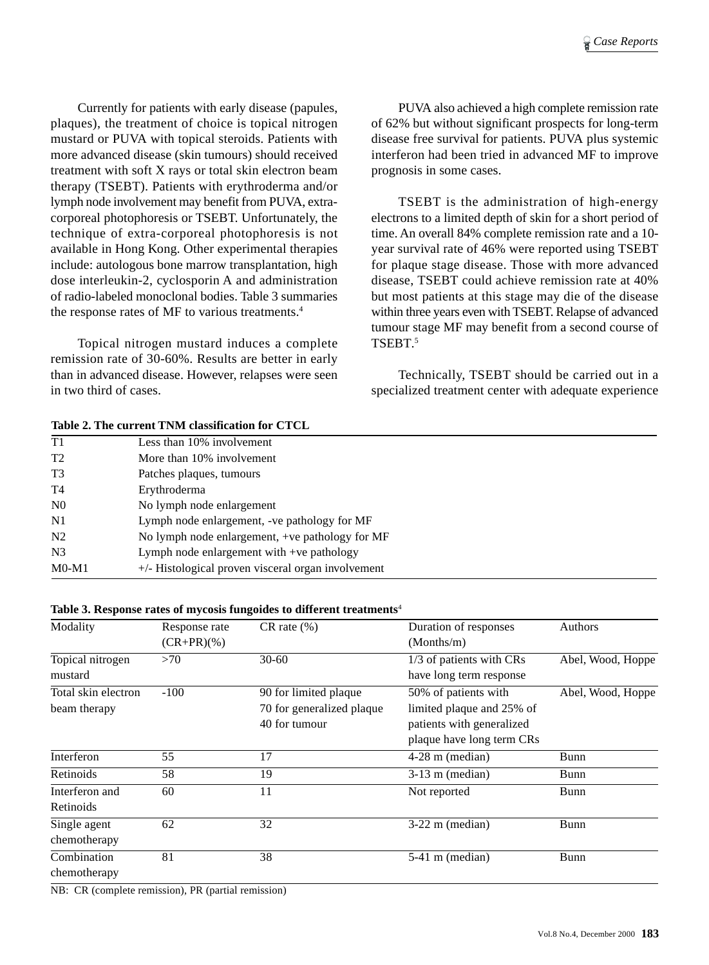Currently for patients with early disease (papules, plaques), the treatment of choice is topical nitrogen mustard or PUVA with topical steroids. Patients with more advanced disease (skin tumours) should received treatment with soft X rays or total skin electron beam therapy (TSEBT). Patients with erythroderma and/or lymph node involvement may benefit from PUVA, extracorporeal photophoresis or TSEBT. Unfortunately, the technique of extra-corporeal photophoresis is not available in Hong Kong. Other experimental therapies include: autologous bone marrow transplantation, high dose interleukin-2, cyclosporin A and administration of radio-labeled monoclonal bodies. Table 3 summaries the response rates of MF to various treatments.4

Topical nitrogen mustard induces a complete remission rate of 30-60%. Results are better in early than in advanced disease. However, relapses were seen in two third of cases.

PUVA also achieved a high complete remission rate of 62% but without significant prospects for long-term disease free survival for patients. PUVA plus systemic interferon had been tried in advanced MF to improve prognosis in some cases.

TSEBT is the administration of high-energy electrons to a limited depth of skin for a short period of time. An overall 84% complete remission rate and a 10 year survival rate of 46% were reported using TSEBT for plaque stage disease. Those with more advanced disease, TSEBT could achieve remission rate at 40% but most patients at this stage may die of the disease within three years even with TSEBT. Relapse of advanced tumour stage MF may benefit from a second course of TSEBT.5

Technically, TSEBT should be carried out in a specialized treatment center with adequate experience

| T1             | Less than 10% involvement                          |  |  |
|----------------|----------------------------------------------------|--|--|
| T <sub>2</sub> | More than 10% involvement                          |  |  |
| T <sub>3</sub> | Patches plaques, tumours                           |  |  |
| T4             | Erythroderma                                       |  |  |
| N <sub>0</sub> | No lymph node enlargement                          |  |  |
| N1             | Lymph node enlargement, -ve pathology for MF       |  |  |
| N <sub>2</sub> | No lymph node enlargement, +ve pathology for MF    |  |  |
| N <sub>3</sub> | Lymph node enlargement with +ve pathology          |  |  |
| $M0-M1$        | +/- Histological proven visceral organ involvement |  |  |

#### **Table 2. The current TNM classification for CTCL**

#### **Table 3. Response rates of mycosis fungoides to different treatments**<sup>4</sup>

| Modality            | Response rate | $CR$ rate $(\%)$          | Duration of responses     | Authors           |
|---------------------|---------------|---------------------------|---------------------------|-------------------|
|                     | $(CR+PR)(\%)$ |                           | (Months/m)                |                   |
| Topical nitrogen    | >70           | $30 - 60$                 | 1/3 of patients with CRs  | Abel, Wood, Hoppe |
| mustard             |               |                           | have long term response   |                   |
| Total skin electron | $-100$        | 90 for limited plaque     | 50% of patients with      | Abel, Wood, Hoppe |
| beam therapy        |               | 70 for generalized plaque | limited plaque and 25% of |                   |
|                     |               | 40 for tumour             | patients with generalized |                   |
|                     |               |                           | plaque have long term CRs |                   |
| Interferon          | 55            | 17                        | $4-28$ m (median)         | Bunn              |
| Retinoids           | 58            | 19                        | $3-13$ m (median)         | Bunn              |
| Interferon and      | 60            | 11                        | Not reported              | Bunn              |
| Retinoids           |               |                           |                           |                   |
| Single agent        | 62            | 32                        | $3-22$ m (median)         | Bunn              |
| chemotherapy        |               |                           |                           |                   |
| Combination         | 81            | 38                        | $5-41$ m (median)         | Bunn              |
| chemotherapy        |               |                           |                           |                   |

NB: CR (complete remission), PR (partial remission)